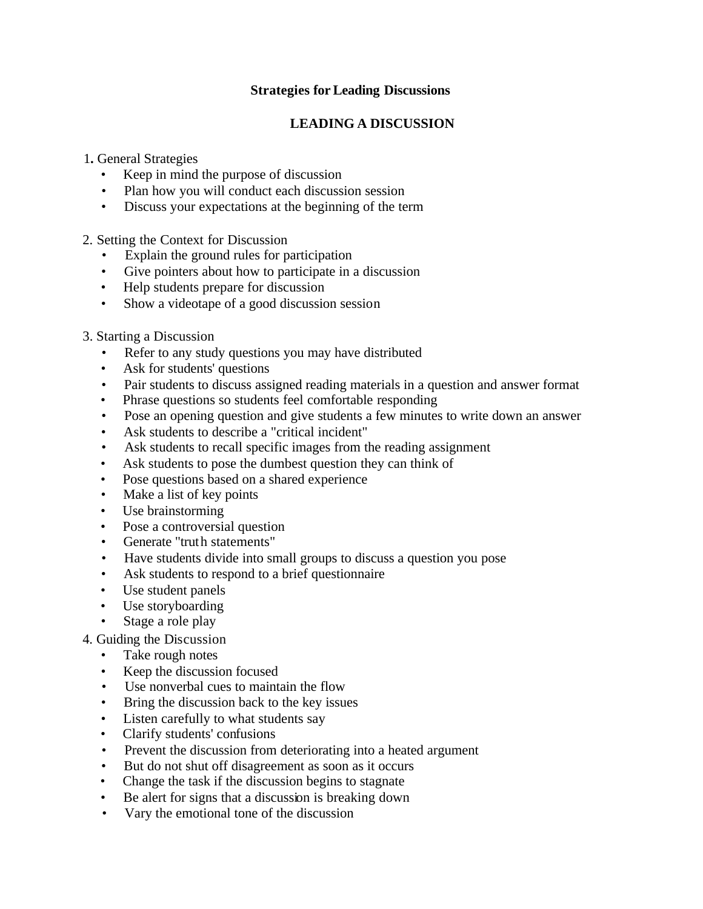### **Strategies for Leading Discussions**

# **LEADING A DISCUSSION**

1**.** General Strategies

- Keep in mind the purpose of discussion
- Plan how you will conduct each discussion session
- Discuss your expectations at the beginning of the term

2. Setting the Context for Discussion

- Explain the ground rules for participation
- Give pointers about how to participate in a discussion
- Help students prepare for discussion
- Show a videotape of a good discussion session

#### 3. Starting a Discussion

- Refer to any study questions you may have distributed
- Ask for students' questions
- Pair students to discuss assigned reading materials in a question and answer format
- Phrase questions so students feel comfortable responding
- Pose an opening question and give students a few minutes to write down an answer
- Ask students to describe a "critical incident"
- Ask students to recall specific images from the reading assignment
- Ask students to pose the dumbest question they can think of
- Pose questions based on a shared experience
- Make a list of key points
- Use brainstorming
- Pose a controversial question
- Generate "truth statements"
- Have students divide into small groups to discuss a question you pose
- Ask students to respond to a brief questionnaire
- Use student panels
- Use storyboarding
- Stage a role play

## 4. Guiding the Discussion

- Take rough notes
- Keep the discussion focused
- Use nonverbal cues to maintain the flow
- Bring the discussion back to the key issues
- Listen carefully to what students say
- Clarify students' confusions
- Prevent the discussion from deteriorating into a heated argument
- But do not shut off disagreement as soon as it occurs
- Change the task if the discussion begins to stagnate
- Be alert for signs that a discussion is breaking down
- Vary the emotional tone of the discussion